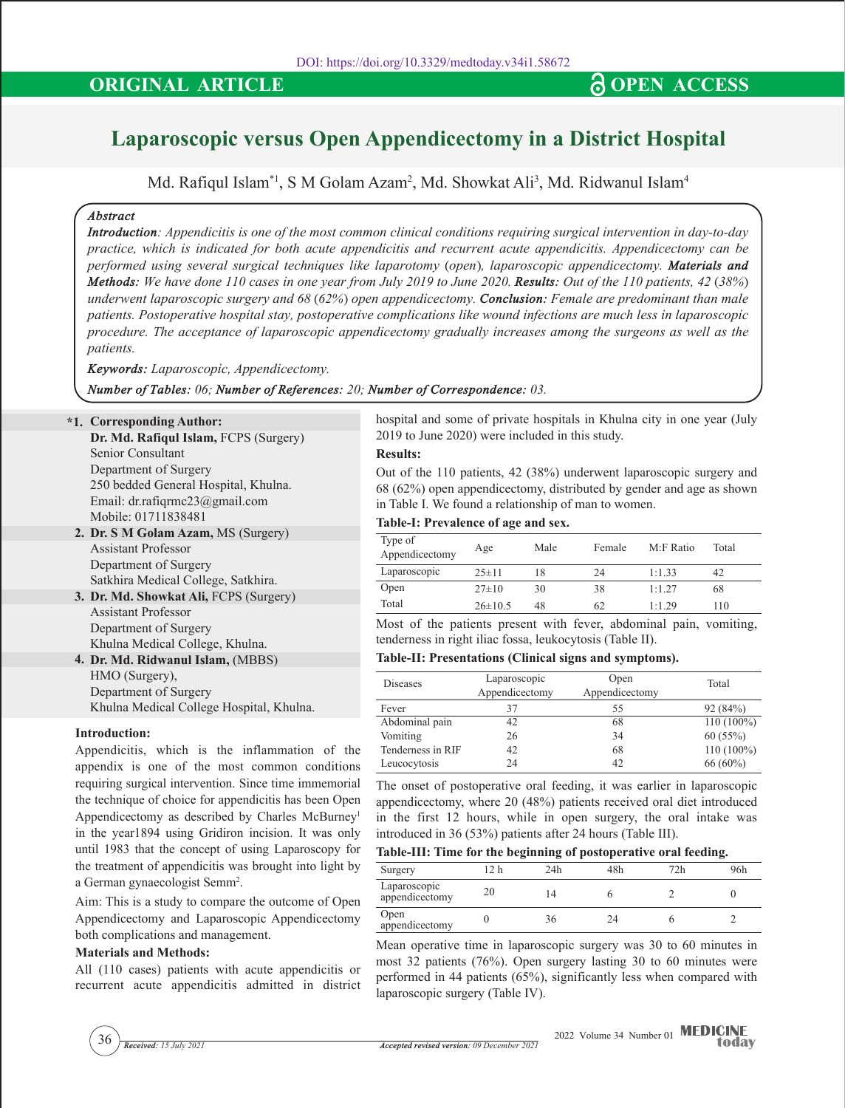# **ORIGINAL ARTICLE CONGRESS CONGRESS**

# **Laparoscopic versus Open Appendicectomy in a District Hospital**

Md. Rafiqul Islam $^{\ast}$ l, S M Golam Azam², Md. Showkat Ali $^{\mathrm{3}}$ , Md. Ridwanul Islam $^{\mathrm{4}}$ 

# *Abstract*

*Introduction: Appendicitis is one of the most common clinical conditions requiring surgical intervention in day-to-day practice, which is indicated for both acute appendicitis and recurrent acute appendicitis. Appendicectomy can be performed using several surgical techniques like laparotomy (open), laparoscopic appendicectomy. Materials and Methods: We have done 110 cases in one year from July 2019 to June 2020. Results: Out of the 110 patients, 42 (38%) underwent laparoscopic surgery and 68 (62%) open appendicectomy. Conclusion: Female are predominant than male patients. Postoperative hospital stay, postoperative complications like wound infections are much less in laparoscopic procedure. The acceptance of laparoscopic appendicectomy gradually increases among the surgeons as well as the patients.*

*Keywords: Laparoscopic, Appendicectomy.*

*Number of Tables: 06; Number of References: 20; Number of Correspondence: 03.*

**\*1. Corresponding Author:** 

**Dr. Md. Rafiqul Islam,** FCPS (Surgery) Senior Consultant Department Of Surgery 250 bedded General Hospital, Khulna. Email: dr.rafiqrmc23@gmail.com Mobile: 01711838481

- **2. Dr. S M Golam Azam,** MS (Surgery) Assistant Professor Department Of Surgery Satkhira Medical College, Satkhira.
- **3. Dr. Md. Showkat Ali,** FCPS (Surgery) Assistant Professor Department Of Surgery Khulna Medical College, Khulna.
- **4. Dr. Md. Ridwanul Islam,** (MBBS) HMO (Surgery), Department Of Surgery Khulna Medical College Hospital, Khulna.

# **Introduction:**

Appendicitis, which is the inflammation of the appendix is one of the most common conditions requiring surgical intervention. Since time immemorial the technique of choice for appendicitis has been Open Appendicectomy as described by Charles McBurney<sup>1</sup> in the year1894 using Gridiron incision. It was only until 1983 that the concept of using Laparoscopy for the treatment of appendicitis was brought into light by a German gynaecologist Semm<sup>2</sup>.

Aim: This is a study to compare the outcome of Open Appendicectomy and Laparoscopic Appendicectomy both complications and management.

# **Materials and Methods:**

All (110 cases) patients with acute appendicitis or recurrent acute appendicitis admitted in district hospital and some of private hospitals in Khulna city in one year (July 2019 to June 2020) were included in this study.

#### **Results:**

Out of the 110 patients, 42 (38%) underwent laparoscopic surgery and 68 (62%) open appendicectomy, distributed by gender and age as shown in Table I. We found a relationship of man to women.

#### **Table-I: Prevalence of age and sex.**

| Type of<br>Appendicectomy | Age         | Male | Female | $M \cdot F$ Ratio | Total |
|---------------------------|-------------|------|--------|-------------------|-------|
| Laparoscopic              | $25 \pm 11$ | 18   | 24     | 1:1.33            | 42    |
| Open                      | $27\pm10$   | 30   | 38     | 1:1.27            | 68    |
| Total                     | $26\pm10.5$ | 48   | 62     | 1:1.29            | 110   |

Most of the patients present with fever, abdominal pain, vomiting, tenderness in right iliac fossa, leukocytosis (Table II).

#### **Table-II: Presentations (Clinical signs and symptoms).**

| Diseases          | Laparoscopic<br>Appendicectomy | Open<br>Appendicectomy | Total      |
|-------------------|--------------------------------|------------------------|------------|
| Fever             | 37                             | 55                     | 92 (84%)   |
| Abdominal pain    | 42                             | 68                     | 110 (100%) |
| Vomiting          | 26                             | 34                     | 60(55%)    |
| Tenderness in RIF | 42                             | 68                     | 110 (100%) |
| Leucocytosis      | 24                             | 42                     | 66 (60%)   |

The onset of postoperative oral feeding, it was earlier in laparoscopic appendicectomy, where 20 (48%) patients received oral diet introduced in the first 12 hours, while in open surgery, the oral intake was introduced in 36 (53%) patients after 24 hours (Table III).

# **Table-III: Time for the beginning of postoperative oral feeding.**

| Surgery                        |    | 24h | 48h | 72h | 96h |
|--------------------------------|----|-----|-----|-----|-----|
| Laparoscopic<br>appendicectomy | ŻU |     |     |     |     |
| Open<br>appendicectomy         |    | 36  | ) Δ |     |     |

Mean operative time in laparoscopic surgery was 30 to 60 minutes in most 32 patients (76%). Open surgery lasting 30 to 60 minutes were performed in 44 patients (65%), significantly less when compared with laparoscopic surgery (Table IV).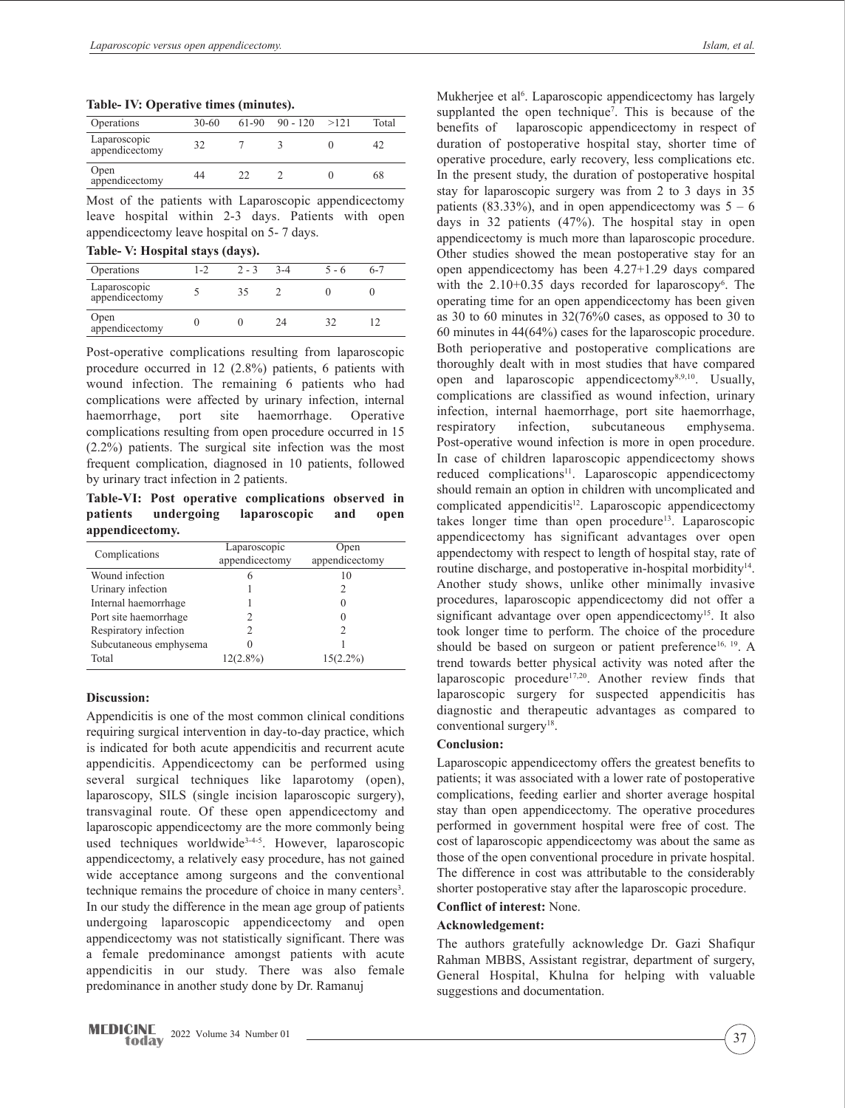**Table- IV: Operative times (minutes).**

| Operations                     | $30 - 60$ |    | $61-90$ 90 - 120 | >121 | Total |
|--------------------------------|-----------|----|------------------|------|-------|
| Laparoscopic<br>appendicectomy | 32        |    |                  |      |       |
| Open<br>appendicectomy         | 44        | つつ |                  |      | 68    |

Most of the patients with Laparoscopic appendicectomy leave hospital within 2-3 days. Patients with open appendicectomy leave hospital on 5- 7 days.

|  |  | Table- V: Hospital stays (days). |  |  |
|--|--|----------------------------------|--|--|
|--|--|----------------------------------|--|--|

| $\sim$                         |         |         |       |         |         |  |
|--------------------------------|---------|---------|-------|---------|---------|--|
| Operations                     | $1 - 2$ | $2 - 3$ | $3-4$ | $5 - 6$ | $6 - 7$ |  |
| Laparoscopic<br>appendicectomy |         |         |       |         |         |  |
| Open<br>appendicectomy         |         |         | 24    |         |         |  |

Post-operative complications resulting from laparoscopic procedure occurred in 12 (2.8%) patients, 6 patients with wound infection. The remaining 6 patients who had complications were affected by urinary infection, internal haemorrhage, port site haemorrhage. Operative complications resulting from open procedure occurred in 15 (2.2%) patients. The surgical site infection was the most frequent complication, diagnosed in 10 patients, followed by urinary tract infection in 2 patients.

**Table-VI: Post operative complications observed in patients undergoing laparoscopic and open appendicectomy.**

| Complications          | Laparoscopic<br>appendicectomy | Open<br>appendicectomy |
|------------------------|--------------------------------|------------------------|
| Wound infection        | 6                              | 10                     |
| Urinary infection      |                                | 2                      |
| Internal haemorrhage   |                                | 0                      |
| Port site haemorrhage  |                                |                        |
| Respiratory infection  |                                | 2                      |
| Subcutaneous emphysema |                                |                        |
| Total                  | $12(2.8\%)$                    | $15(2.2\%)$            |

# **Discussion:**

Appendicitis is one of the most common clinical conditions requiring surgical intervention in day-to-day practice, which is indicated for both acute appendicitis and recurrent acute appendicitis. Appendicectomy can be performed using several surgical techniques like laparotomy (open), laparoscopy, SILS (single incision laparoscopic surgery), transvaginal route. Of these open appendicectomy and laparoscopic appendicectomy are the more commonly being used techniques worldwide<sup>3-4-5</sup>. However, laparoscopic appendicectomy, a relatively easy procedure, has not gained wide acceptance among surgeons and the conventional technique remains the procedure of choice in many centers<sup>3</sup>. In our study the difference in the mean age group of patients undergoing laparoscopic appendicectomy and open appendicectomy was not statistically significant. There was a female predominance amongst patients with acute appendicitis in our study. There was also female predominance in another study done by Dr. Ramanuj

Mukherjee et al<sup>6</sup>. Laparoscopic appendicectomy has largely supplanted the open technique<sup>7</sup>. This is because of the benefits of laparoscopic appendicectomy in respect of duration of postoperative hospital stay, shorter time of operative procedure, early recovery, less complications etc. In the present study, the duration of postoperative hospital stay for laparoscopic surgery was from 2 to 3 days in 35 patients (83.33%), and in open appendicectomy was  $5 - 6$ days in 32 patients (47%). The hospital stay in open appendicectomy is much more than laparoscopic procedure. Other studies showed the mean postoperative stay for an open appendicectomy has been 4.27+1.29 days compared with the 2.10+0.35 days recorded for laparoscopy<sup>6</sup>. The operating time for an open appendicectomy has been given as 30 to 60 minutes in 32(76%0 cases, as opposed to 30 to 60 minutes in 44(64%) cases for the laparoscopic procedure. Both perioperative and postoperative complications are thoroughly dealt with in most studies that have compared open and laparoscopic appendicectomy<sup>8,9,10</sup>. Usually, complications are classified as wound infection, urinary infection, internal haemorrhage, port site haemorrhage, respiratory infection, subcutaneous emphysema. Post-operative wound infection is more in open procedure. In case of children laparoscopic appendicectomy shows reduced complications<sup>11</sup>. Laparoscopic appendicectomy should remain an option in children with uncomplicated and complicated appendicitis<sup>12</sup>. Laparoscopic appendicectomy takes longer time than open procedure<sup>13</sup>. Laparoscopic appendicectomy has significant advantages over open appendectomy with respect to length of hospital stay, rate of routine discharge, and postoperative in-hospital morbidity<sup>14</sup>. Another study shows, unlike other minimally invasive procedures, laparoscopic appendicectomy did not offer a significant advantage over open appendicectomy<sup>15</sup>. It also took longer time to perform. The choice of the procedure should be based on surgeon or patient preference<sup>16, 19</sup>. A trend towards better physical activity was noted after the laparoscopic procedure<sup>17,20</sup>. Another review finds that laparoscopic surgery for suspected appendicitis has diagnostic and therapeutic advantages as compared to conventional surgery<sup>18</sup>.

#### **Conclusion:**

Laparoscopic appendicectomy offers the greatest benefits to patients; it was associated with a lower rate of postoperative complications, feeding earlier and shorter average hospital stay than open appendicectomy. The operative procedures performed in government hospital were free of cost. The cost of laparoscopic appendicectomy was about the same as those of the open conventional procedure in private hospital. The difference in cost was attributable to the considerably shorter postoperative stay after the laparoscopic procedure.

## **Conflict of interest:** None.

# **Acknowledgement:**

The authors gratefully acknowledge Dr. Gazi Shafiqur Rahman MBBS, Assistant registrar, department of surgery, General Hospital, Khulna for helping with valuable suggestions and documentation.